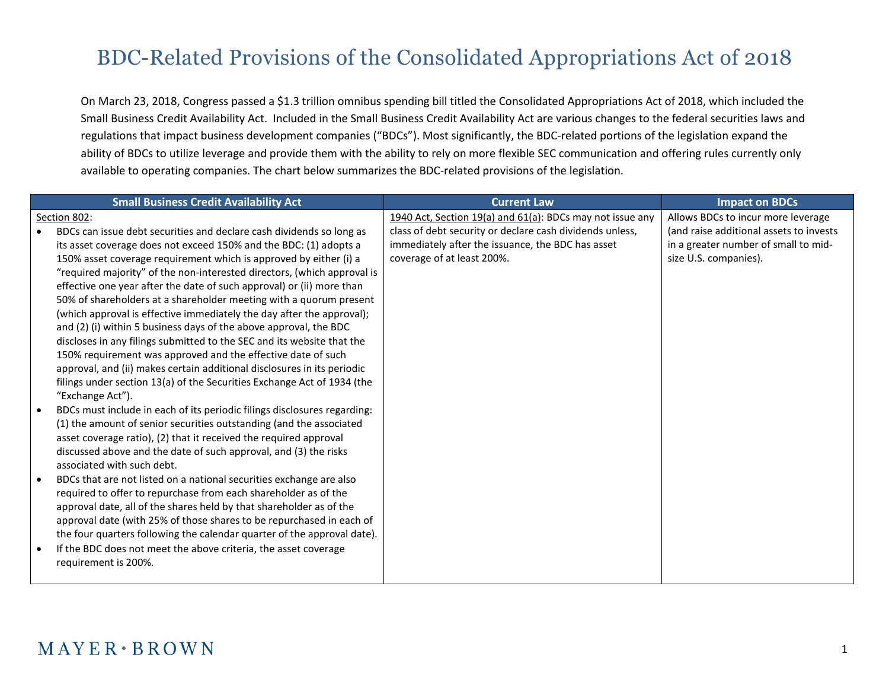## BDC-Related Provisions of the Consolidated Appropriations Act of 2018

On March 23, 2018, Congress passed a \$1.3 trillion omnibus spending bill titled the Consolidated Appropriations Act of 2018, which included the Small Business Credit Availability Act. Included in the Small Business Credit Availability Act are various changes to the federal securities laws and regulations that impact business development companies ("BDCs"). Most significantly, the BDC-related portions of the legislation expand the ability of BDCs to utilize leverage and provide them with the ability to rely on more flexible SEC communication and offering rules currently only available to operating companies. The chart below summarizes the BDC-related provisions of the legislation.

|           | <b>Small Business Credit Availability Act</b>                            | <b>Current Law</b>                                        | <b>Impact on BDCs</b>                   |
|-----------|--------------------------------------------------------------------------|-----------------------------------------------------------|-----------------------------------------|
|           | Section 802:                                                             | 1940 Act, Section 19(a) and 61(a): BDCs may not issue any | Allows BDCs to incur more leverage      |
|           | BDCs can issue debt securities and declare cash dividends so long as     | class of debt security or declare cash dividends unless,  | (and raise additional assets to invests |
|           | its asset coverage does not exceed 150% and the BDC: (1) adopts a        | immediately after the issuance, the BDC has asset         | in a greater number of small to mid-    |
|           | 150% asset coverage requirement which is approved by either (i) a        | coverage of at least 200%.                                | size U.S. companies).                   |
|           | "required majority" of the non-interested directors, (which approval is  |                                                           |                                         |
|           | effective one year after the date of such approval) or (ii) more than    |                                                           |                                         |
|           | 50% of shareholders at a shareholder meeting with a quorum present       |                                                           |                                         |
|           | (which approval is effective immediately the day after the approval);    |                                                           |                                         |
|           | and (2) (i) within 5 business days of the above approval, the BDC        |                                                           |                                         |
|           | discloses in any filings submitted to the SEC and its website that the   |                                                           |                                         |
|           | 150% requirement was approved and the effective date of such             |                                                           |                                         |
|           | approval, and (ii) makes certain additional disclosures in its periodic  |                                                           |                                         |
|           | filings under section 13(a) of the Securities Exchange Act of 1934 (the  |                                                           |                                         |
|           | "Exchange Act").                                                         |                                                           |                                         |
| $\bullet$ | BDCs must include in each of its periodic filings disclosures regarding: |                                                           |                                         |
|           | (1) the amount of senior securities outstanding (and the associated      |                                                           |                                         |
|           | asset coverage ratio), (2) that it received the required approval        |                                                           |                                         |
|           | discussed above and the date of such approval, and (3) the risks         |                                                           |                                         |
|           | associated with such debt.                                               |                                                           |                                         |
| $\bullet$ | BDCs that are not listed on a national securities exchange are also      |                                                           |                                         |
|           | required to offer to repurchase from each shareholder as of the          |                                                           |                                         |
|           | approval date, all of the shares held by that shareholder as of the      |                                                           |                                         |
|           | approval date (with 25% of those shares to be repurchased in each of     |                                                           |                                         |
|           | the four quarters following the calendar quarter of the approval date).  |                                                           |                                         |
| $\bullet$ | If the BDC does not meet the above criteria, the asset coverage          |                                                           |                                         |
|           | requirement is 200%.                                                     |                                                           |                                         |
|           |                                                                          |                                                           |                                         |

## $MAYER * BROWN$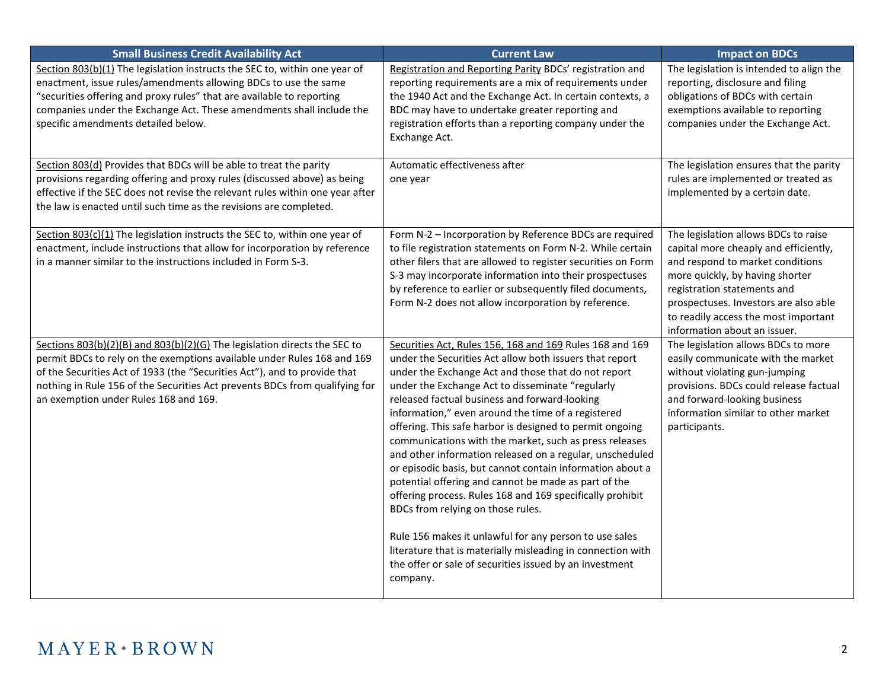| <b>Small Business Credit Availability Act</b>                                                                                                                                                                                                                                                                                                             | <b>Current Law</b>                                                                                                                                                                                                                                                                                                                                                                                                                                                                                                                                                                                                                                                                                                                                                                                                                                                                                                                             | <b>Impact on BDCs</b>                                                                                                                                                                                                                                                                                |
|-----------------------------------------------------------------------------------------------------------------------------------------------------------------------------------------------------------------------------------------------------------------------------------------------------------------------------------------------------------|------------------------------------------------------------------------------------------------------------------------------------------------------------------------------------------------------------------------------------------------------------------------------------------------------------------------------------------------------------------------------------------------------------------------------------------------------------------------------------------------------------------------------------------------------------------------------------------------------------------------------------------------------------------------------------------------------------------------------------------------------------------------------------------------------------------------------------------------------------------------------------------------------------------------------------------------|------------------------------------------------------------------------------------------------------------------------------------------------------------------------------------------------------------------------------------------------------------------------------------------------------|
| Section 803(b)(1) The legislation instructs the SEC to, within one year of<br>enactment, issue rules/amendments allowing BDCs to use the same<br>"securities offering and proxy rules" that are available to reporting<br>companies under the Exchange Act. These amendments shall include the<br>specific amendments detailed below.                     | Registration and Reporting Parity BDCs' registration and<br>reporting requirements are a mix of requirements under<br>the 1940 Act and the Exchange Act. In certain contexts, a<br>BDC may have to undertake greater reporting and<br>registration efforts than a reporting company under the<br>Exchange Act.                                                                                                                                                                                                                                                                                                                                                                                                                                                                                                                                                                                                                                 | The legislation is intended to align the<br>reporting, disclosure and filing<br>obligations of BDCs with certain<br>exemptions available to reporting<br>companies under the Exchange Act.                                                                                                           |
| Section 803(d) Provides that BDCs will be able to treat the parity<br>provisions regarding offering and proxy rules (discussed above) as being<br>effective if the SEC does not revise the relevant rules within one year after<br>the law is enacted until such time as the revisions are completed.                                                     | Automatic effectiveness after<br>one year                                                                                                                                                                                                                                                                                                                                                                                                                                                                                                                                                                                                                                                                                                                                                                                                                                                                                                      | The legislation ensures that the parity<br>rules are implemented or treated as<br>implemented by a certain date.                                                                                                                                                                                     |
| Section 803(c)(1) The legislation instructs the SEC to, within one year of<br>enactment, include instructions that allow for incorporation by reference<br>in a manner similar to the instructions included in Form S-3.                                                                                                                                  | Form N-2 - Incorporation by Reference BDCs are required<br>to file registration statements on Form N-2. While certain<br>other filers that are allowed to register securities on Form<br>S-3 may incorporate information into their prospectuses<br>by reference to earlier or subsequently filed documents,<br>Form N-2 does not allow incorporation by reference.                                                                                                                                                                                                                                                                                                                                                                                                                                                                                                                                                                            | The legislation allows BDCs to raise<br>capital more cheaply and efficiently,<br>and respond to market conditions<br>more quickly, by having shorter<br>registration statements and<br>prospectuses. Investors are also able<br>to readily access the most important<br>information about an issuer. |
| Sections 803(b)(2)(B) and 803(b)(2)(G) The legislation directs the SEC to<br>permit BDCs to rely on the exemptions available under Rules 168 and 169<br>of the Securities Act of 1933 (the "Securities Act"), and to provide that<br>nothing in Rule 156 of the Securities Act prevents BDCs from qualifying for<br>an exemption under Rules 168 and 169. | Securities Act, Rules 156, 168 and 169 Rules 168 and 169<br>under the Securities Act allow both issuers that report<br>under the Exchange Act and those that do not report<br>under the Exchange Act to disseminate "regularly<br>released factual business and forward-looking<br>information," even around the time of a registered<br>offering. This safe harbor is designed to permit ongoing<br>communications with the market, such as press releases<br>and other information released on a regular, unscheduled<br>or episodic basis, but cannot contain information about a<br>potential offering and cannot be made as part of the<br>offering process. Rules 168 and 169 specifically prohibit<br>BDCs from relying on those rules.<br>Rule 156 makes it unlawful for any person to use sales<br>literature that is materially misleading in connection with<br>the offer or sale of securities issued by an investment<br>company. | The legislation allows BDCs to more<br>easily communicate with the market<br>without violating gun-jumping<br>provisions. BDCs could release factual<br>and forward-looking business<br>information similar to other market<br>participants.                                                         |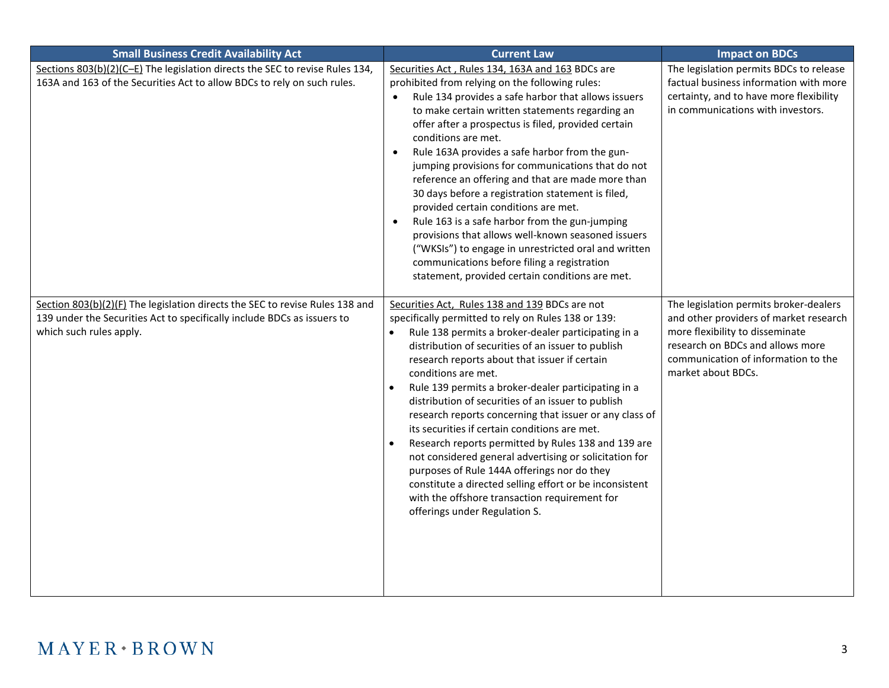| <b>Small Business Credit Availability Act</b>                                                                                                                                      | <b>Current Law</b>                                                                                                                                                                                                                                                                                                                                                                                                                                                                                                                                                                                                                                                                                                                                                                                                                            | <b>Impact on BDCs</b>                                                                                                                                                                                                |
|------------------------------------------------------------------------------------------------------------------------------------------------------------------------------------|-----------------------------------------------------------------------------------------------------------------------------------------------------------------------------------------------------------------------------------------------------------------------------------------------------------------------------------------------------------------------------------------------------------------------------------------------------------------------------------------------------------------------------------------------------------------------------------------------------------------------------------------------------------------------------------------------------------------------------------------------------------------------------------------------------------------------------------------------|----------------------------------------------------------------------------------------------------------------------------------------------------------------------------------------------------------------------|
| Sections 803(b)(2)(C-E) The legislation directs the SEC to revise Rules 134,<br>163A and 163 of the Securities Act to allow BDCs to rely on such rules.                            | Securities Act, Rules 134, 163A and 163 BDCs are<br>prohibited from relying on the following rules:<br>Rule 134 provides a safe harbor that allows issuers<br>to make certain written statements regarding an<br>offer after a prospectus is filed, provided certain<br>conditions are met.<br>Rule 163A provides a safe harbor from the gun-<br>$\bullet$<br>jumping provisions for communications that do not<br>reference an offering and that are made more than<br>30 days before a registration statement is filed,<br>provided certain conditions are met.<br>Rule 163 is a safe harbor from the gun-jumping<br>provisions that allows well-known seasoned issuers<br>("WKSIs") to engage in unrestricted oral and written<br>communications before filing a registration<br>statement, provided certain conditions are met.           | The legislation permits BDCs to release<br>factual business information with more<br>certainty, and to have more flexibility<br>in communications with investors.                                                    |
| Section 803(b)(2)(F) The legislation directs the SEC to revise Rules 138 and<br>139 under the Securities Act to specifically include BDCs as issuers to<br>which such rules apply. | Securities Act, Rules 138 and 139 BDCs are not<br>specifically permitted to rely on Rules 138 or 139:<br>Rule 138 permits a broker-dealer participating in a<br>distribution of securities of an issuer to publish<br>research reports about that issuer if certain<br>conditions are met.<br>Rule 139 permits a broker-dealer participating in a<br>$\bullet$<br>distribution of securities of an issuer to publish<br>research reports concerning that issuer or any class of<br>its securities if certain conditions are met.<br>Research reports permitted by Rules 138 and 139 are<br>not considered general advertising or solicitation for<br>purposes of Rule 144A offerings nor do they<br>constitute a directed selling effort or be inconsistent<br>with the offshore transaction requirement for<br>offerings under Regulation S. | The legislation permits broker-dealers<br>and other providers of market research<br>more flexibility to disseminate<br>research on BDCs and allows more<br>communication of information to the<br>market about BDCs. |

## $MAYER*BROWN$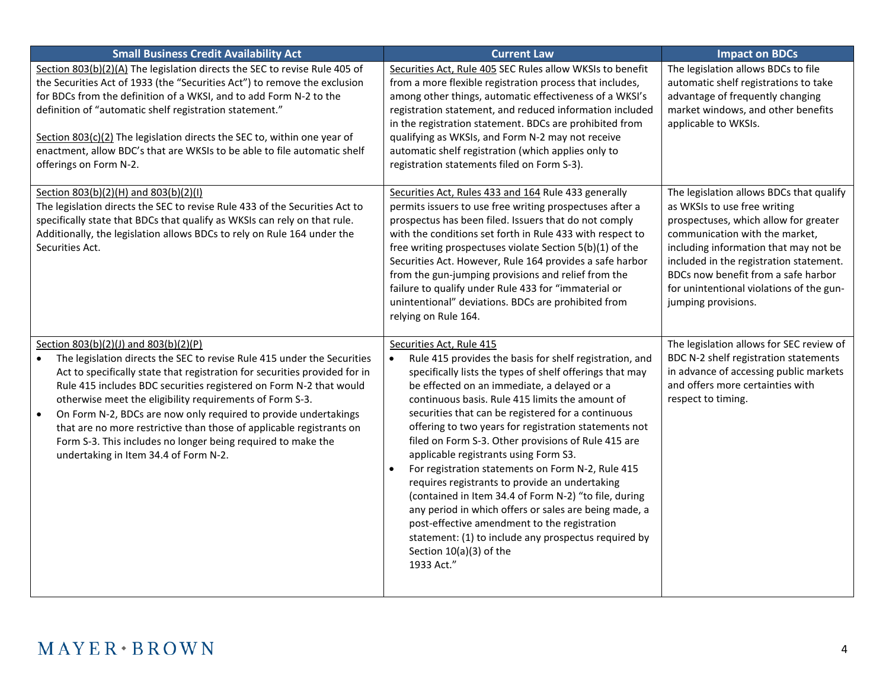| <b>Small Business Credit Availability Act</b>                                                                                                                                                                                                                                                                                                                                                                                                                                                                                                                                        | <b>Current Law</b>                                                                                                                                                                                                                                                                                                                                                                                                                                                                                                                                                                                                                                                                                                                                                                                                                                      | <b>Impact on BDCs</b>                                                                                                                                                                                                                                                                                                                             |
|--------------------------------------------------------------------------------------------------------------------------------------------------------------------------------------------------------------------------------------------------------------------------------------------------------------------------------------------------------------------------------------------------------------------------------------------------------------------------------------------------------------------------------------------------------------------------------------|---------------------------------------------------------------------------------------------------------------------------------------------------------------------------------------------------------------------------------------------------------------------------------------------------------------------------------------------------------------------------------------------------------------------------------------------------------------------------------------------------------------------------------------------------------------------------------------------------------------------------------------------------------------------------------------------------------------------------------------------------------------------------------------------------------------------------------------------------------|---------------------------------------------------------------------------------------------------------------------------------------------------------------------------------------------------------------------------------------------------------------------------------------------------------------------------------------------------|
| Section 803(b)(2)(A) The legislation directs the SEC to revise Rule 405 of<br>the Securities Act of 1933 (the "Securities Act") to remove the exclusion<br>for BDCs from the definition of a WKSI, and to add Form N-2 to the<br>definition of "automatic shelf registration statement."<br>Section 803(c)(2) The legislation directs the SEC to, within one year of<br>enactment, allow BDC's that are WKSIs to be able to file automatic shelf<br>offerings on Form N-2.                                                                                                           | Securities Act, Rule 405 SEC Rules allow WKSIs to benefit<br>from a more flexible registration process that includes,<br>among other things, automatic effectiveness of a WKSI's<br>registration statement, and reduced information included<br>in the registration statement. BDCs are prohibited from<br>qualifying as WKSIs, and Form N-2 may not receive<br>automatic shelf registration (which applies only to<br>registration statements filed on Form S-3).                                                                                                                                                                                                                                                                                                                                                                                      | The legislation allows BDCs to file<br>automatic shelf registrations to take<br>advantage of frequently changing<br>market windows, and other benefits<br>applicable to WKSIs.                                                                                                                                                                    |
| Section 803(b)(2)(H) and 803(b)(2)(l)<br>The legislation directs the SEC to revise Rule 433 of the Securities Act to<br>specifically state that BDCs that qualify as WKSIs can rely on that rule.<br>Additionally, the legislation allows BDCs to rely on Rule 164 under the<br>Securities Act.                                                                                                                                                                                                                                                                                      | Securities Act, Rules 433 and 164 Rule 433 generally<br>permits issuers to use free writing prospectuses after a<br>prospectus has been filed. Issuers that do not comply<br>with the conditions set forth in Rule 433 with respect to<br>free writing prospectuses violate Section 5(b)(1) of the<br>Securities Act. However, Rule 164 provides a safe harbor<br>from the gun-jumping provisions and relief from the<br>failure to qualify under Rule 433 for "immaterial or<br>unintentional" deviations. BDCs are prohibited from<br>relying on Rule 164.                                                                                                                                                                                                                                                                                            | The legislation allows BDCs that qualify<br>as WKSIs to use free writing<br>prospectuses, which allow for greater<br>communication with the market,<br>including information that may not be<br>included in the registration statement.<br>BDCs now benefit from a safe harbor<br>for unintentional violations of the gun-<br>jumping provisions. |
| Section 803(b)(2)(J) and 803(b)(2)(P)<br>The legislation directs the SEC to revise Rule 415 under the Securities<br>Act to specifically state that registration for securities provided for in<br>Rule 415 includes BDC securities registered on Form N-2 that would<br>otherwise meet the eligibility requirements of Form S-3.<br>On Form N-2, BDCs are now only required to provide undertakings<br>that are no more restrictive than those of applicable registrants on<br>Form S-3. This includes no longer being required to make the<br>undertaking in Item 34.4 of Form N-2. | Securities Act, Rule 415<br>Rule 415 provides the basis for shelf registration, and<br>specifically lists the types of shelf offerings that may<br>be effected on an immediate, a delayed or a<br>continuous basis. Rule 415 limits the amount of<br>securities that can be registered for a continuous<br>offering to two years for registration statements not<br>filed on Form S-3. Other provisions of Rule 415 are<br>applicable registrants using Form S3.<br>For registration statements on Form N-2, Rule 415<br>$\bullet$<br>requires registrants to provide an undertaking<br>(contained in Item 34.4 of Form N-2) "to file, during<br>any period in which offers or sales are being made, a<br>post-effective amendment to the registration<br>statement: (1) to include any prospectus required by<br>Section 10(a)(3) of the<br>1933 Act." | The legislation allows for SEC review of<br>BDC N-2 shelf registration statements<br>in advance of accessing public markets<br>and offers more certainties with<br>respect to timing.                                                                                                                                                             |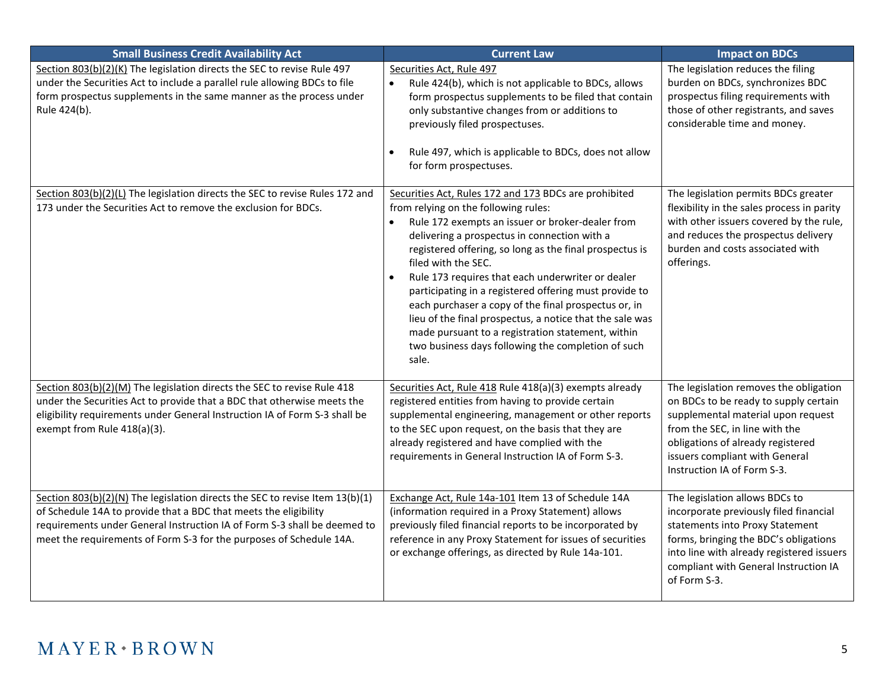| <b>Small Business Credit Availability Act</b>                                                                                                                                                                                                                                                       | <b>Current Law</b>                                                                                                                                                                                                                                                                                                                                                                                                                                                                                                                                                                                                                                      | <b>Impact on BDCs</b>                                                                                                                                                                                                                                         |
|-----------------------------------------------------------------------------------------------------------------------------------------------------------------------------------------------------------------------------------------------------------------------------------------------------|---------------------------------------------------------------------------------------------------------------------------------------------------------------------------------------------------------------------------------------------------------------------------------------------------------------------------------------------------------------------------------------------------------------------------------------------------------------------------------------------------------------------------------------------------------------------------------------------------------------------------------------------------------|---------------------------------------------------------------------------------------------------------------------------------------------------------------------------------------------------------------------------------------------------------------|
| Section 803(b)(2)(K) The legislation directs the SEC to revise Rule 497<br>under the Securities Act to include a parallel rule allowing BDCs to file<br>form prospectus supplements in the same manner as the process under<br>Rule 424(b).                                                         | Securities Act, Rule 497<br>Rule 424(b), which is not applicable to BDCs, allows<br>$\bullet$<br>form prospectus supplements to be filed that contain<br>only substantive changes from or additions to<br>previously filed prospectuses.<br>Rule 497, which is applicable to BDCs, does not allow<br>$\bullet$<br>for form prospectuses.                                                                                                                                                                                                                                                                                                                | The legislation reduces the filing<br>burden on BDCs, synchronizes BDC<br>prospectus filing requirements with<br>those of other registrants, and saves<br>considerable time and money.                                                                        |
| Section 803(b)(2)(L) The legislation directs the SEC to revise Rules 172 and<br>173 under the Securities Act to remove the exclusion for BDCs.                                                                                                                                                      | Securities Act, Rules 172 and 173 BDCs are prohibited<br>from relying on the following rules:<br>Rule 172 exempts an issuer or broker-dealer from<br>delivering a prospectus in connection with a<br>registered offering, so long as the final prospectus is<br>filed with the SEC.<br>Rule 173 requires that each underwriter or dealer<br>$\bullet$<br>participating in a registered offering must provide to<br>each purchaser a copy of the final prospectus or, in<br>lieu of the final prospectus, a notice that the sale was<br>made pursuant to a registration statement, within<br>two business days following the completion of such<br>sale. | The legislation permits BDCs greater<br>flexibility in the sales process in parity<br>with other issuers covered by the rule,<br>and reduces the prospectus delivery<br>burden and costs associated with<br>offerings.                                        |
| Section 803(b)(2)(M) The legislation directs the SEC to revise Rule 418<br>under the Securities Act to provide that a BDC that otherwise meets the<br>eligibility requirements under General Instruction IA of Form S-3 shall be<br>exempt from Rule 418(a)(3).                                     | Securities Act, Rule 418 Rule 418(a)(3) exempts already<br>registered entities from having to provide certain<br>supplemental engineering, management or other reports<br>to the SEC upon request, on the basis that they are<br>already registered and have complied with the<br>requirements in General Instruction IA of Form S-3.                                                                                                                                                                                                                                                                                                                   | The legislation removes the obligation<br>on BDCs to be ready to supply certain<br>supplemental material upon request<br>from the SEC, in line with the<br>obligations of already registered<br>issuers compliant with General<br>Instruction IA of Form S-3. |
| Section 803(b)(2)(N) The legislation directs the SEC to revise Item 13(b)(1)<br>of Schedule 14A to provide that a BDC that meets the eligibility<br>requirements under General Instruction IA of Form S-3 shall be deemed to<br>meet the requirements of Form S-3 for the purposes of Schedule 14A. | Exchange Act, Rule 14a-101 Item 13 of Schedule 14A<br>(information required in a Proxy Statement) allows<br>previously filed financial reports to be incorporated by<br>reference in any Proxy Statement for issues of securities<br>or exchange offerings, as directed by Rule 14a-101.                                                                                                                                                                                                                                                                                                                                                                | The legislation allows BDCs to<br>incorporate previously filed financial<br>statements into Proxy Statement<br>forms, bringing the BDC's obligations<br>into line with already registered issuers<br>compliant with General Instruction IA<br>of Form S-3.    |

## $MAYER*BROWN$